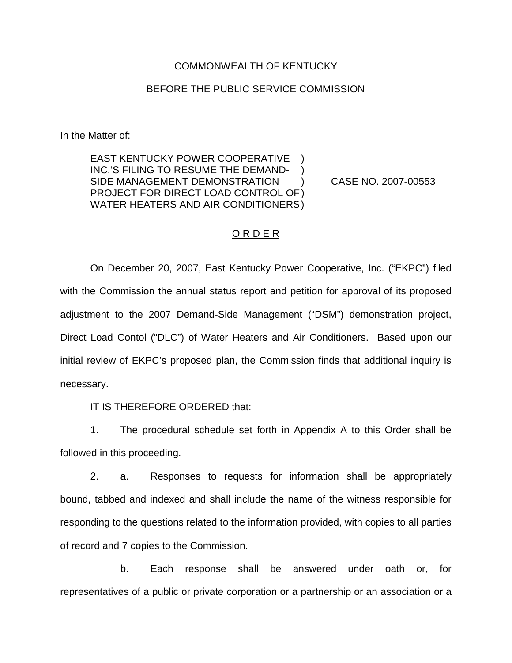### COMMONWEALTH OF KENTUCKY

#### BEFORE THE PUBLIC SERVICE COMMISSION

In the Matter of:

EAST KENTUCKY POWER COOPERATIVE INC.'S FILING TO RESUME THE DEMAND-SIDE MANAGEMENT DEMONSTRATION ) CASE NO. 2007-00553 PROJECT FOR DIRECT LOAD CONTROL OF) WATER HEATERS AND AIR CONDITIONERS)

#### O R D E R

On December 20, 2007, East Kentucky Power Cooperative, Inc. ("EKPC") filed with the Commission the annual status report and petition for approval of its proposed adjustment to the 2007 Demand-Side Management ("DSM") demonstration project, Direct Load Contol ("DLC") of Water Heaters and Air Conditioners. Based upon our initial review of EKPC's proposed plan, the Commission finds that additional inquiry is necessary.

IT IS THEREFORE ORDERED that:

1. The procedural schedule set forth in Appendix A to this Order shall be followed in this proceeding.

2. a. Responses to requests for information shall be appropriately bound, tabbed and indexed and shall include the name of the witness responsible for responding to the questions related to the information provided, with copies to all parties of record and 7 copies to the Commission.

b. Each response shall be answered under oath or, for representatives of a public or private corporation or a partnership or an association or a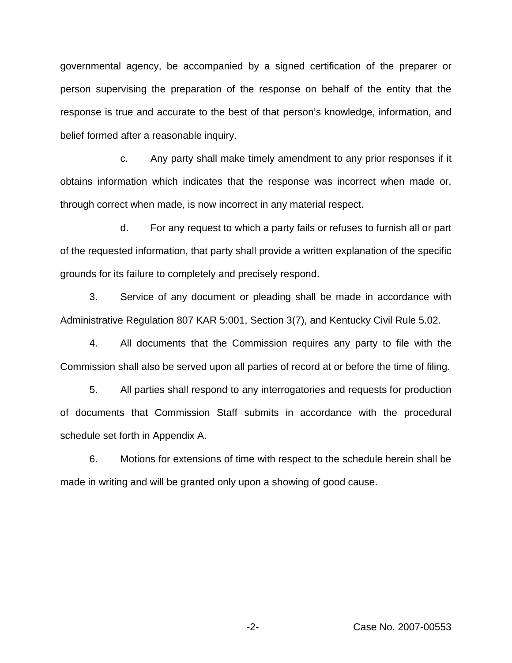governmental agency, be accompanied by a signed certification of the preparer or person supervising the preparation of the response on behalf of the entity that the response is true and accurate to the best of that person's knowledge, information, and belief formed after a reasonable inquiry.

c. Any party shall make timely amendment to any prior responses if it obtains information which indicates that the response was incorrect when made or, through correct when made, is now incorrect in any material respect.

d. For any request to which a party fails or refuses to furnish all or part of the requested information, that party shall provide a written explanation of the specific grounds for its failure to completely and precisely respond.

3. Service of any document or pleading shall be made in accordance with Administrative Regulation 807 KAR 5:001, Section 3(7), and Kentucky Civil Rule 5.02.

4. All documents that the Commission requires any party to file with the Commission shall also be served upon all parties of record at or before the time of filing.

5. All parties shall respond to any interrogatories and requests for production of documents that Commission Staff submits in accordance with the procedural schedule set forth in Appendix A.

6. Motions for extensions of time with respect to the schedule herein shall be made in writing and will be granted only upon a showing of good cause.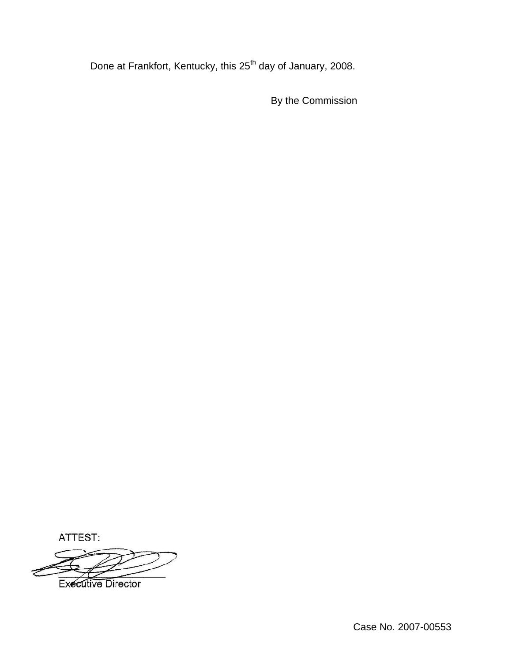Done at Frankfort, Kentucky, this 25<sup>th</sup> day of January, 2008.

By the Commission

ATTEST:

**Executive Director**